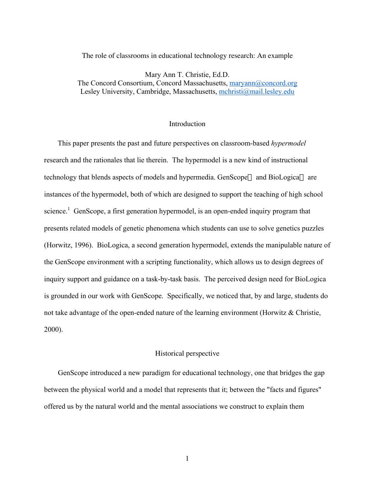The role of classrooms in educational technology research: An example

Mary Ann T. Christie, Ed.D. The Concord Consortium, Concord Massachusetts, maryann@concord.org Lesley University, Cambridge, Massachusetts, mchristi@mail.lesley.edu

#### **Introduction**

This paper presents the past and future perspectives on classroom-based *hypermodel* research and the rationales that lie therein. The hypermodel is a new kind of instructional technology that blends aspects of models and hypermedia. GenScope<sup> $m$ </sup> and BioLogica<sup> $m$ </sup> are instances of the hypermodel, both of which are designed to support the teaching of high school science.<sup>1</sup> GenScope, a first generation hypermodel, is an open-ended inquiry program that presents related models of genetic phenomena which students can use to solve genetics puzzles (Horwitz, 1996). BioLogica, a second generation hypermodel, extends the manipulable nature of the GenScope environment with a scripting functionality, which allows us to design degrees of inquiry support and guidance on a task-by-task basis. The perceived design need for BioLogica is grounded in our work with GenScope. Specifically, we noticed that, by and large, students do not take advantage of the open-ended nature of the learning environment (Horwitz & Christie, 2000).

## Historical perspective

GenScope introduced a new paradigm for educational technology, one that bridges the gap between the physical world and a model that represents that it; between the "facts and figures" offered us by the natural world and the mental associations we construct to explain them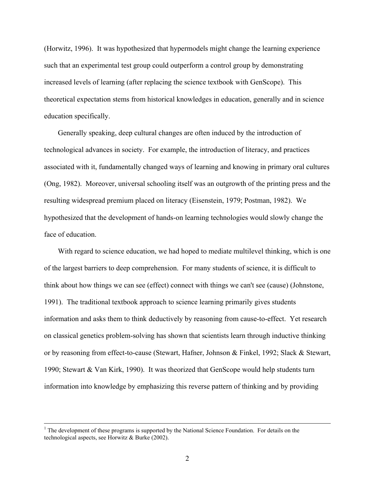(Horwitz, 1996). It was hypothesized that hypermodels might change the learning experience such that an experimental test group could outperform a control group by demonstrating increased levels of learning (after replacing the science textbook with GenScope). This theoretical expectation stems from historical knowledges in education, generally and in science education specifically.

Generally speaking, deep cultural changes are often induced by the introduction of technological advances in society. For example, the introduction of literacy, and practices associated with it, fundamentally changed ways of learning and knowing in primary oral cultures (Ong, 1982). Moreover, universal schooling itself was an outgrowth of the printing press and the resulting widespread premium placed on literacy (Eisenstein, 1979; Postman, 1982). We hypothesized that the development of hands-on learning technologies would slowly change the face of education.

With regard to science education, we had hoped to mediate multilevel thinking, which is one of the largest barriers to deep comprehension. For many students of science, it is difficult to think about how things we can see (effect) connect with things we can't see (cause) (Johnstone, 1991). The traditional textbook approach to science learning primarily gives students information and asks them to think deductively by reasoning from cause-to-effect. Yet research on classical genetics problem-solving has shown that scientists learn through inductive thinking or by reasoning from effect-to-cause (Stewart, Hafner, Johnson & Finkel, 1992; Slack & Stewart, 1990; Stewart & Van Kirk, 1990). It was theorized that GenScope would help students turn information into knowledge by emphasizing this reverse pattern of thinking and by providing

 $\frac{1}{1}$  $<sup>1</sup>$  The development of these programs is supported by the National Science Foundation. For details on the</sup> technological aspects, see Horwitz & Burke (2002).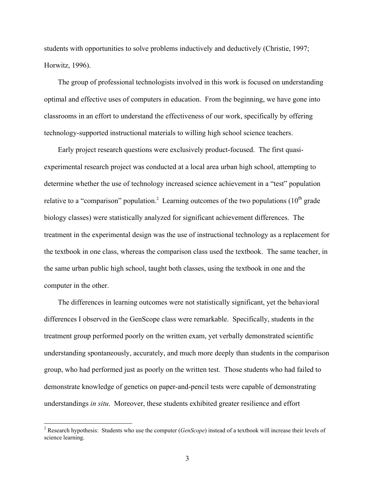students with opportunities to solve problems inductively and deductively (Christie, 1997; Horwitz, 1996).

The group of professional technologists involved in this work is focused on understanding optimal and effective uses of computers in education. From the beginning, we have gone into classrooms in an effort to understand the effectiveness of our work, specifically by offering technology-supported instructional materials to willing high school science teachers.

Early project research questions were exclusively product-focused. The first quasiexperimental research project was conducted at a local area urban high school, attempting to determine whether the use of technology increased science achievement in a "test" population relative to a "comparison" population.<sup>2</sup> Learning outcomes of the two populations (10<sup>th</sup> grade biology classes) were statistically analyzed for significant achievement differences. The treatment in the experimental design was the use of instructional technology as a replacement for the textbook in one class, whereas the comparison class used the textbook. The same teacher, in the same urban public high school, taught both classes, using the textbook in one and the computer in the other.

The differences in learning outcomes were not statistically significant, yet the behavioral differences I observed in the GenScope class were remarkable. Specifically, students in the treatment group performed poorly on the written exam, yet verbally demonstrated scientific understanding spontaneously, accurately, and much more deeply than students in the comparison group, who had performed just as poorly on the written test. Those students who had failed to demonstrate knowledge of genetics on paper-and-pencil tests were capable of demonstrating understandings *in situ*. Moreover, these students exhibited greater resilience and effort

 $\frac{1}{2}$  Research hypothesis: Students who use the computer (*GenScope*) instead of a textbook will increase their levels of science learning.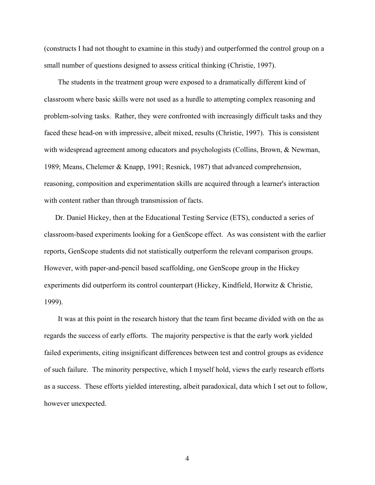(constructs I had not thought to examine in this study) and outperformed the control group on a small number of questions designed to assess critical thinking (Christie, 1997).

The students in the treatment group were exposed to a dramatically different kind of classroom where basic skills were not used as a hurdle to attempting complex reasoning and problem-solving tasks. Rather, they were confronted with increasingly difficult tasks and they faced these head-on with impressive, albeit mixed, results (Christie, 1997). This is consistent with widespread agreement among educators and psychologists (Collins, Brown, & Newman, 1989; Means, Chelemer & Knapp, 1991; Resnick, 1987) that advanced comprehension, reasoning, composition and experimentation skills are acquired through a learner's interaction with content rather than through transmission of facts.

Dr. Daniel Hickey, then at the Educational Testing Service (ETS), conducted a series of classroom-based experiments looking for a GenScope effect. As was consistent with the earlier reports, GenScope students did not statistically outperform the relevant comparison groups. However, with paper-and-pencil based scaffolding, one GenScope group in the Hickey experiments did outperform its control counterpart (Hickey, Kindfield, Horwitz & Christie, 1999).

It was at this point in the research history that the team first became divided with on the as regards the success of early efforts. The majority perspective is that the early work yielded failed experiments, citing insignificant differences between test and control groups as evidence of such failure. The minority perspective, which I myself hold, views the early research efforts as a success. These efforts yielded interesting, albeit paradoxical, data which I set out to follow, however unexpected.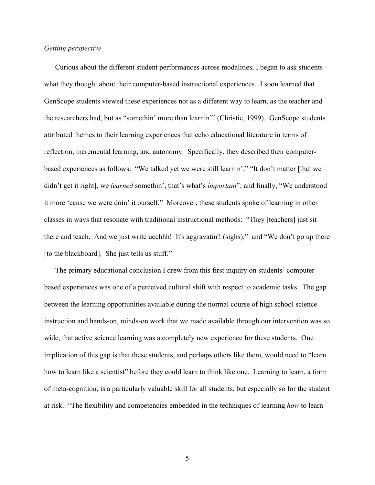# *Getting perspective*

Curious about the different student performances across modalities, I began to ask students what they thought about their computer-based instructional experiences. I soon learned that GenScope students viewed these experiences not as a different way to learn, as the teacher and the researchers had, but as "somethin' more than learnin'" (Christie, 1999). GenScope students attributed themes to their learning experiences that echo educational literature in terms of reflection, incremental learning, and autonomy. Specifically, they described their computerbased experiences as follows: "We talked yet we were still learnin'," "It don't matter [that we didn't get it right], we *learned* somethin', that's what's *important*"; and finally, "We understood it more 'cause we were doin' it ourself." Moreover, these students spoke of learning in other classes in ways that resonate with traditional instructional methods: "They [teachers] just sit there and teach. And we just write ucchhh! It's aggravatin'! (sighs)," and "We don't go up there [to the blackboard]. She just tells us stuff."

The primary educational conclusion I drew from this first inquiry on students' computerbased experiences was one of a perceived cultural shift with respect to academic tasks. The gap between the learning opportunities available during the normal course of high school science instruction and hands-on, minds-on work that we made available through our intervention was so wide, that active science learning was a completely new experience for these students. One implication of this gap is that these students, and perhaps others like them, would need to "learn how to learn like a scientist" before they could learn to think like one. Learning to learn, a form of meta-cognition, is a particularly valuable skill for all students, but especially so for the student at risk. "The flexibility and competencies embedded in the techniques of learning *how* to learn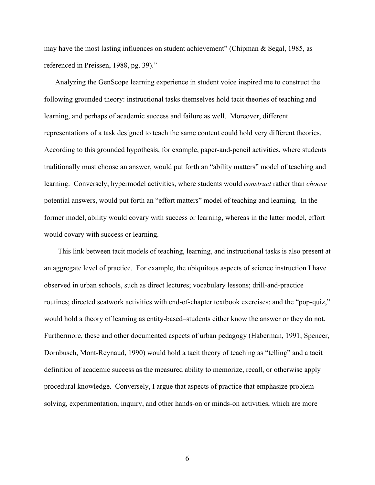may have the most lasting influences on student achievement" (Chipman & Segal, 1985, as referenced in Preissen, 1988, pg. 39)."

Analyzing the GenScope learning experience in student voice inspired me to construct the following grounded theory: instructional tasks themselves hold tacit theories of teaching and learning, and perhaps of academic success and failure as well. Moreover, different representations of a task designed to teach the same content could hold very different theories. According to this grounded hypothesis, for example, paper-and-pencil activities, where students traditionally must choose an answer, would put forth an "ability matters" model of teaching and learning. Conversely, hypermodel activities, where students would *construct* rather than *choose* potential answers, would put forth an "effort matters" model of teaching and learning. In the former model, ability would covary with success or learning, whereas in the latter model, effort would covary with success or learning.

This link between tacit models of teaching, learning, and instructional tasks is also present at an aggregate level of practice. For example, the ubiquitous aspects of science instruction I have observed in urban schools, such as direct lectures; vocabulary lessons; drill-and-practice routines; directed seatwork activities with end-of-chapter textbook exercises; and the "pop-quiz," would hold a theory of learning as entity-based–students either know the answer or they do not. Furthermore, these and other documented aspects of urban pedagogy (Haberman, 1991; Spencer, Dornbusch, Mont-Reynaud, 1990) would hold a tacit theory of teaching as "telling" and a tacit definition of academic success as the measured ability to memorize, recall, or otherwise apply procedural knowledge. Conversely, I argue that aspects of practice that emphasize problemsolving, experimentation, inquiry, and other hands-on or minds-on activities, which are more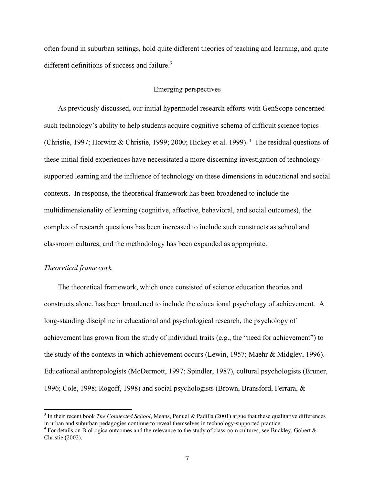often found in suburban settings, hold quite different theories of teaching and learning, and quite different definitions of success and failure. $3$ 

# Emerging perspectives

As previously discussed, our initial hypermodel research efforts with GenScope concerned such technology's ability to help students acquire cognitive schema of difficult science topics (Christie, 1997; Horwitz & Christie, 1999; 2000; Hickey et al. 1999).<sup>4</sup> The residual questions of these initial field experiences have necessitated a more discerning investigation of technologysupported learning and the influence of technology on these dimensions in educational and social contexts. In response, the theoretical framework has been broadened to include the multidimensionality of learning (cognitive, affective, behavioral, and social outcomes), the complex of research questions has been increased to include such constructs as school and classroom cultures, and the methodology has been expanded as appropriate.

#### *Theoretical framework*

The theoretical framework, which once consisted of science education theories and constructs alone, has been broadened to include the educational psychology of achievement. A long-standing discipline in educational and psychological research, the psychology of achievement has grown from the study of individual traits (e.g., the "need for achievement") to the study of the contexts in which achievement occurs (Lewin, 1957; Maehr & Midgley, 1996). Educational anthropologists (McDermott, 1997; Spindler, 1987), cultural psychologists (Bruner, 1996; Cole, 1998; Rogoff, 1998) and social psychologists (Brown, Bransford, Ferrara, &

<sup>&</sup>lt;sup>2</sup><br>3 In their recent book *The Connected School*, Means, Penuel & Padilla (2001) argue that these qualitative differences in urban and suburban pedagogies continue to reveal themselves in technology-supported practice.

 $4$  For details on BioLogica outcomes and the relevance to the study of classroom cultures, see Buckley, Gobert & Christie (2002).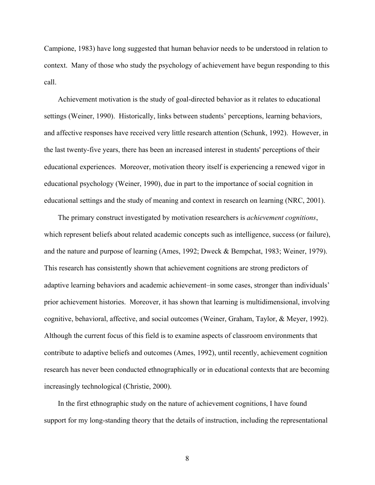Campione, 1983) have long suggested that human behavior needs to be understood in relation to context. Many of those who study the psychology of achievement have begun responding to this call.

Achievement motivation is the study of goal-directed behavior as it relates to educational settings (Weiner, 1990). Historically, links between students' perceptions, learning behaviors, and affective responses have received very little research attention (Schunk, 1992). However, in the last twenty-five years, there has been an increased interest in students' perceptions of their educational experiences. Moreover, motivation theory itself is experiencing a renewed vigor in educational psychology (Weiner, 1990), due in part to the importance of social cognition in educational settings and the study of meaning and context in research on learning (NRC, 2001).

The primary construct investigated by motivation researchers is *achievement cognitions*, which represent beliefs about related academic concepts such as intelligence, success (or failure), and the nature and purpose of learning (Ames, 1992; Dweck & Bempchat, 1983; Weiner, 1979). This research has consistently shown that achievement cognitions are strong predictors of adaptive learning behaviors and academic achievement–in some cases, stronger than individuals' prior achievement histories. Moreover, it has shown that learning is multidimensional, involving cognitive, behavioral, affective, and social outcomes (Weiner, Graham, Taylor, & Meyer, 1992). Although the current focus of this field is to examine aspects of classroom environments that contribute to adaptive beliefs and outcomes (Ames, 1992), until recently, achievement cognition research has never been conducted ethnographically or in educational contexts that are becoming increasingly technological (Christie, 2000).

In the first ethnographic study on the nature of achievement cognitions, I have found support for my long-standing theory that the details of instruction, including the representational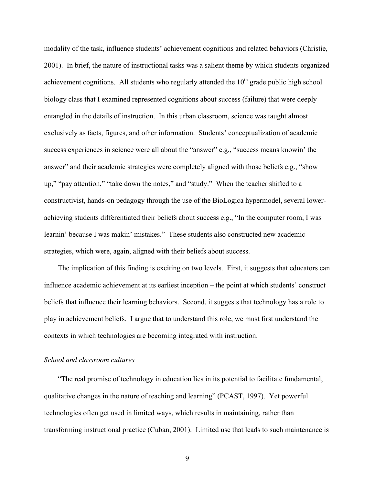modality of the task, influence students' achievement cognitions and related behaviors (Christie, 2001). In brief, the nature of instructional tasks was a salient theme by which students organized achievement cognitions. All students who regularly attended the  $10<sup>th</sup>$  grade public high school biology class that I examined represented cognitions about success (failure) that were deeply entangled in the details of instruction. In this urban classroom, science was taught almost exclusively as facts, figures, and other information. Students' conceptualization of academic success experiences in science were all about the "answer" e.g., "success means knowin' the answer" and their academic strategies were completely aligned with those beliefs e.g., "show up," "pay attention," "take down the notes," and "study." When the teacher shifted to a constructivist, hands-on pedagogy through the use of the BioLogica hypermodel, several lowerachieving students differentiated their beliefs about success e.g., "In the computer room, I was learnin' because I was makin' mistakes." These students also constructed new academic strategies, which were, again, aligned with their beliefs about success.

The implication of this finding is exciting on two levels. First, it suggests that educators can influence academic achievement at its earliest inception – the point at which students' construct beliefs that influence their learning behaviors. Second, it suggests that technology has a role to play in achievement beliefs. I argue that to understand this role, we must first understand the contexts in which technologies are becoming integrated with instruction.

## *School and classroom cultures*

"The real promise of technology in education lies in its potential to facilitate fundamental, qualitative changes in the nature of teaching and learning" (PCAST, 1997). Yet powerful technologies often get used in limited ways, which results in maintaining, rather than transforming instructional practice (Cuban, 2001). Limited use that leads to such maintenance is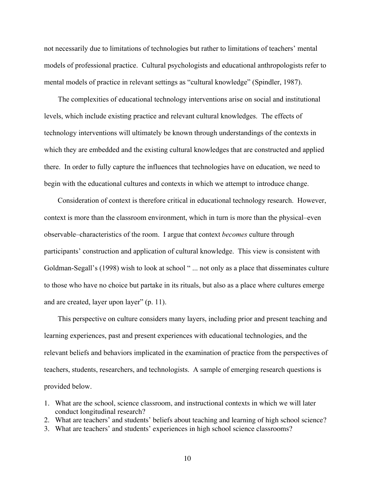not necessarily due to limitations of technologies but rather to limitations of teachers' mental models of professional practice. Cultural psychologists and educational anthropologists refer to mental models of practice in relevant settings as "cultural knowledge" (Spindler, 1987).

The complexities of educational technology interventions arise on social and institutional levels, which include existing practice and relevant cultural knowledges. The effects of technology interventions will ultimately be known through understandings of the contexts in which they are embedded and the existing cultural knowledges that are constructed and applied there. In order to fully capture the influences that technologies have on education, we need to begin with the educational cultures and contexts in which we attempt to introduce change.

Consideration of context is therefore critical in educational technology research. However, context is more than the classroom environment, which in turn is more than the physical–even observable–characteristics of the room. I argue that context *becomes* culture through participants' construction and application of cultural knowledge. This view is consistent with Goldman-Segall's (1998) wish to look at school " ... not only as a place that disseminates culture to those who have no choice but partake in its rituals, but also as a place where cultures emerge and are created, layer upon layer" (p. 11).

This perspective on culture considers many layers, including prior and present teaching and learning experiences, past and present experiences with educational technologies, and the relevant beliefs and behaviors implicated in the examination of practice from the perspectives of teachers, students, researchers, and technologists. A sample of emerging research questions is provided below.

- 1. What are the school, science classroom, and instructional contexts in which we will later conduct longitudinal research?
- 2. What are teachers' and students' beliefs about teaching and learning of high school science?
- 3. What are teachers' and students' experiences in high school science classrooms?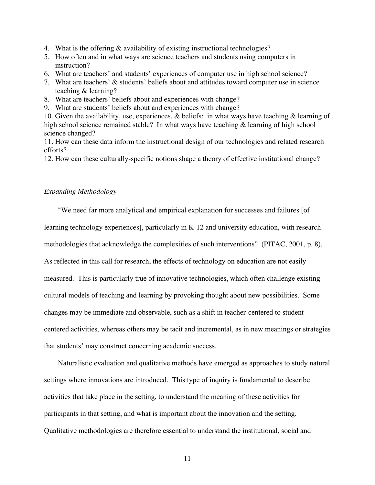- 4. What is the offering & availability of existing instructional technologies?
- 5. How often and in what ways are science teachers and students using computers in instruction?
- 6. What are teachers' and students' experiences of computer use in high school science?
- 7. What are teachers' & students' beliefs about and attitudes toward computer use in science teaching & learning?
- 8. What are teachers' beliefs about and experiences with change?
- 9. What are students' beliefs about and experiences with change?

10. Given the availability, use, experiences, & beliefs: in what ways have teaching & learning of high school science remained stable? In what ways have teaching & learning of high school science changed?

11. How can these data inform the instructional design of our technologies and related research efforts?

12. How can these culturally-specific notions shape a theory of effective institutional change?

## *Expanding Methodology*

"We need far more analytical and empirical explanation for successes and failures [of learning technology experiences], particularly in K-12 and university education, with research methodologies that acknowledge the complexities of such interventions" (PITAC, 2001, p. 8). As reflected in this call for research, the effects of technology on education are not easily measured. This is particularly true of innovative technologies, which often challenge existing cultural models of teaching and learning by provoking thought about new possibilities. Some changes may be immediate and observable, such as a shift in teacher-centered to studentcentered activities, whereas others may be tacit and incremental, as in new meanings or strategies that students' may construct concerning academic success.

Naturalistic evaluation and qualitative methods have emerged as approaches to study natural settings where innovations are introduced. This type of inquiry is fundamental to describe activities that take place in the setting, to understand the meaning of these activities for participants in that setting, and what is important about the innovation and the setting. Qualitative methodologies are therefore essential to understand the institutional, social and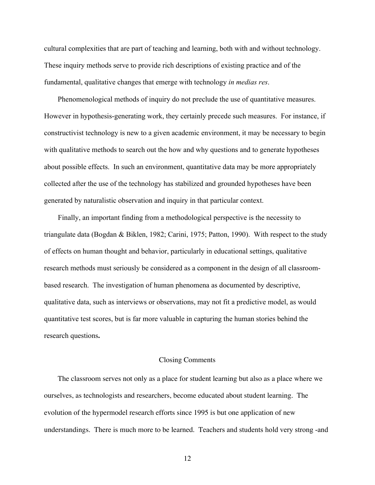cultural complexities that are part of teaching and learning, both with and without technology. These inquiry methods serve to provide rich descriptions of existing practice and of the fundamental, qualitative changes that emerge with technology *in medias res*.

Phenomenological methods of inquiry do not preclude the use of quantitative measures. However in hypothesis-generating work, they certainly precede such measures. For instance, if constructivist technology is new to a given academic environment, it may be necessary to begin with qualitative methods to search out the how and why questions and to generate hypotheses about possible effects. In such an environment, quantitative data may be more appropriately collected after the use of the technology has stabilized and grounded hypotheses have been generated by naturalistic observation and inquiry in that particular context.

Finally, an important finding from a methodological perspective is the necessity to triangulate data (Bogdan & Biklen, 1982; Carini, 1975; Patton, 1990). With respect to the study of effects on human thought and behavior, particularly in educational settings, qualitative research methods must seriously be considered as a component in the design of all classroombased research. The investigation of human phenomena as documented by descriptive, qualitative data, such as interviews or observations, may not fit a predictive model, as would quantitative test scores, but is far more valuable in capturing the human stories behind the research questions**.**

## Closing Comments

The classroom serves not only as a place for student learning but also as a place where we ourselves, as technologists and researchers, become educated about student learning. The evolution of the hypermodel research efforts since 1995 is but one application of new understandings. There is much more to be learned. Teachers and students hold very strong -and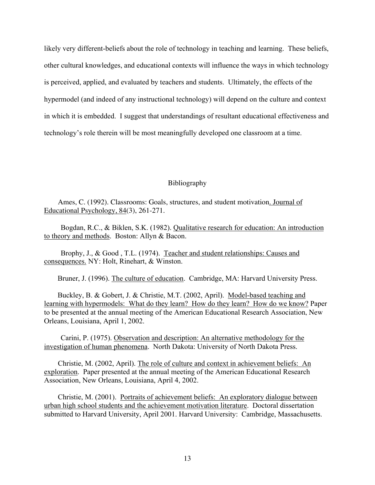likely very different-beliefs about the role of technology in teaching and learning. These beliefs, other cultural knowledges, and educational contexts will influence the ways in which technology is perceived, applied, and evaluated by teachers and students. Ultimately, the effects of the hypermodel (and indeed of any instructional technology) will depend on the culture and context in which it is embedded. I suggest that understandings of resultant educational effectiveness and technology's role therein will be most meaningfully developed one classroom at a time.

## Bibliography

Ames, C. (1992). Classrooms: Goals, structures, and student motivation. Journal of Educational Psychology, 84(3), 261-271.

Bogdan, R.C., & Biklen, S.K. (1982). Qualitative research for education: An introduction to theory and methods. Boston: Allyn & Bacon.

Brophy, J., & Good , T.L. (1974). Teacher and student relationships: Causes and consequences. NY: Holt, Rinehart, & Winston.

Bruner, J. (1996). The culture of education. Cambridge, MA: Harvard University Press.

Buckley, B. & Gobert, J. & Christie, M.T. (2002, April). Model-based teaching and learning with hypermodels: What do they learn? How do they learn? How do we know? Paper to be presented at the annual meeting of the American Educational Research Association, New Orleans, Louisiana, April 1, 2002.

Carini, P. (1975). Observation and description: An alternative methodology for the investigation of human phenomena. North Dakota: University of North Dakota Press.

Christie, M. (2002, April). The role of culture and context in achievement beliefs: An exploration. Paper presented at the annual meeting of the American Educational Research Association, New Orleans, Louisiana, April 4, 2002.

Christie, M. (2001). Portraits of achievement beliefs: An exploratory dialogue between urban high school students and the achievement motivation literature. Doctoral dissertation submitted to Harvard University, April 2001. Harvard University: Cambridge, Massachusetts.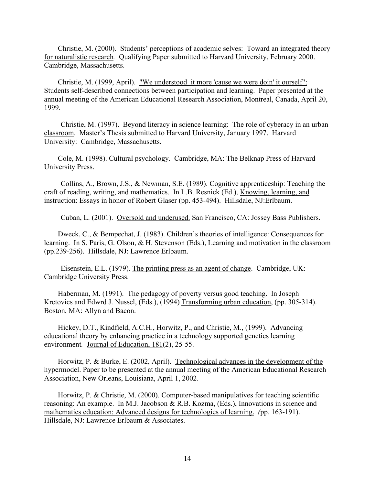Christie, M. (2000). Students' perceptions of academic selves: Toward an integrated theory for naturalistic research*.* Qualifying Paper submitted to Harvard University, February 2000. Cambridge, Massachusetts.

Christie, M. (1999, April). "We understood it more 'cause we were doin' it ourself": Students self-described connections between participation and learning. Paper presented at the annual meeting of the American Educational Research Association, Montreal, Canada, April 20, 1999.

Christie, M. (1997). Beyond literacy in science learning: The role of cyberacy in an urban classroom. Master's Thesis submitted to Harvard University, January 1997. Harvard University: Cambridge, Massachusetts.

Cole, M. (1998). Cultural psychology. Cambridge, MA: The Belknap Press of Harvard University Press.

Collins, A., Brown, J.S., & Newman, S.E. (1989). Cognitive apprenticeship: Teaching the craft of reading, writing, and mathematics. In L.B. Resnick (Ed.), Knowing, learning, and instruction: Essays in honor of Robert Glaser (pp. 453-494). Hillsdale, NJ:Erlbaum.

Cuban, L. (2001). Oversold and underused. San Francisco, CA: Jossey Bass Publishers.

Dweck, C., & Bempechat, J. (1983). Children's theories of intelligence: Consequences for learning. In S. Paris, G. Olson, & H. Stevenson (Eds.), Learning and motivation in the classroom (pp.239-256). Hillsdale, NJ: Lawrence Erlbaum.

Eisenstein, E.L. (1979). The printing press as an agent of change. Cambridge, UK: Cambridge University Press.

Haberman, M. (1991). The pedagogy of poverty versus good teaching. In Joseph Kretovics and Edwrd J. Nussel, (Eds.), (1994) Transforming urban education, (pp. 305-314). Boston, MA: Allyn and Bacon.

Hickey, D.T., Kindfield, A.C.H., Horwitz, P., and Christie, M., (1999). Advancing educational theory by enhancing practice in a technology supported genetics learning environment*.* Journal of Education, 181(2), 25-55.

Horwitz, P. & Burke, E. (2002, April). Technological advances in the development of the hypermodel. Paper to be presented at the annual meeting of the American Educational Research Association, New Orleans, Louisiana, April 1, 2002.

Horwitz, P. & Christie, M. (2000). Computer-based manipulatives for teaching scientific reasoning: An example. In M.J. Jacobson & R.B. Kozma, (Eds.), Innovations in science and mathematics education: Advanced designs for technologies of learning. *(*pp*.* 163-191). Hillsdale, NJ: Lawrence Erlbaum & Associates.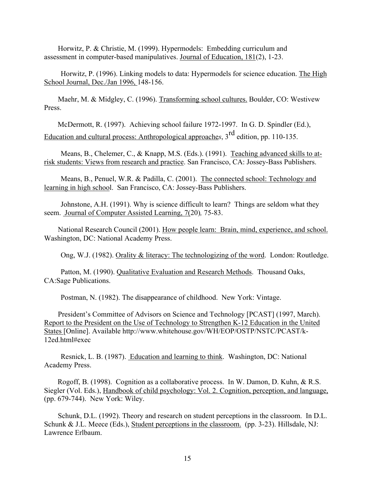Horwitz, P. & Christie, M. (1999). Hypermodels: Embedding curriculum and assessment in computer-based manipulatives. Journal of Education, 181(2), 1-23.

Horwitz, P. (1996). Linking models to data: Hypermodels for science education. The High School Journal, Dec./Jan 1996, 148-156.

Maehr, M. & Midgley, C. (1996). Transforming school cultures. Boulder, CO: Westivew Press.

McDermott, R. (1997). Achieving school failure 1972-1997. In G. D. Spindler (Ed.), Education and cultural process: Anthropological approache*s*, 3rd edition, pp. 110-135.

Means, B., Chelemer, C., & Knapp, M.S. (Eds.). (1991). Teaching advanced skills to atrisk students: Views from research and practice. San Francisco, CA: Jossey-Bass Publishers.

Means, B., Penuel, W.R. & Padilla, C. (2001). The connected school: Technology and learning in high school. San Francisco, CA: Jossey-Bass Publishers.

Johnstone, A.H. (1991). Why is science difficult to learn? Things are seldom what they seem. Journal of Computer Assisted Learning, 7(20)*,* 75-83.

National Research Council (2001). How people learn: Brain, mind, experience, and school. Washington, DC: National Academy Press.

Ong, W.J. (1982). Orality & literacy: The technologizing of the word. London: Routledge.

Patton, M. (1990). Qualitative Evaluation and Research Methods. Thousand Oaks, CA:Sage Publications.

Postman, N. (1982). The disappearance of childhood. New York: Vintage.

President's Committee of Advisors on Science and Technology [PCAST] (1997, March). Report to the President on the Use of Technology to Strengthen K-12 Education in the United States [Online]. Available http://www.whitehouse.gov/WH/EOP/OSTP/NSTC/PCAST/k-12ed.html#exec

Resnick, L. B. (1987). Education and learning to think. Washington, DC: National Academy Press.

Rogoff, B. (1998). Cognition as a collaborative process. In W. Damon, D. Kuhn, & R.S. Siegler (Vol. Eds.), Handbook of child psychology: Vol. 2. Cognition, perception, and language, (pp. 679-744). New York: Wiley.

Schunk, D.L. (1992). Theory and research on student perceptions in the classroom. In D.L. Schunk & J.L. Meece (Eds.), Student perceptions in the classroom. (pp. 3-23). Hillsdale, NJ: Lawrence Erlbaum.